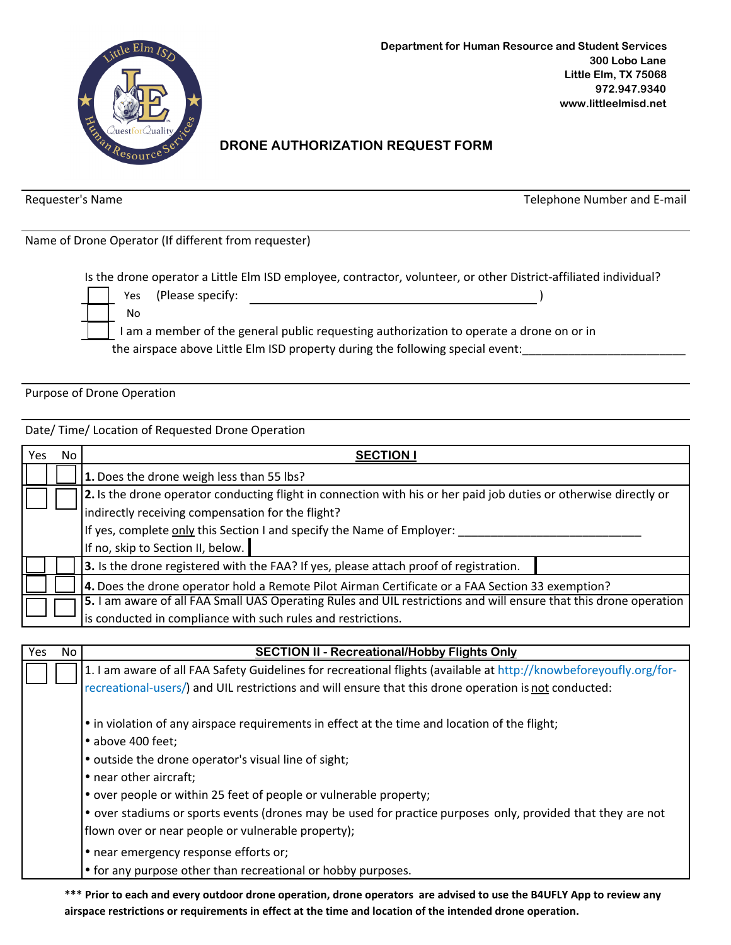

## **DRONE AUTHORIZATION REQUEST FORM**

Requester's Name

Telephone Number and E-mail

Name of Drone Operator (If different from requester)

Is the drone operator a Little Elm ISD employee, contractor, volunteer, or other District-affiliated individual?

| Yes | (Please specify: |  |
|-----|------------------|--|
| Nс  |                  |  |
|     |                  |  |

I am a member of the general public requesting authorization to operate a drone on or in the airspace above Little Elm ISD property during the following special event: \_\_\_\_\_\_\_\_\_\_\_\_\_\_\_\_\_\_\_\_\_\_\_\_\_\_\_\_\_\_\_

Purpose of Drone Operation

Date/ Time/ Location of Requested Drone Operation

| Yes | No.                                                                                                               | <b>SECTION</b>                                                                                                    |  |  |
|-----|-------------------------------------------------------------------------------------------------------------------|-------------------------------------------------------------------------------------------------------------------|--|--|
|     |                                                                                                                   | 1. Does the drone weigh less than 55 lbs?                                                                         |  |  |
|     | 2. Is the drone operator conducting flight in connection with his or her paid job duties or otherwise directly or |                                                                                                                   |  |  |
|     | indirectly receiving compensation for the flight?                                                                 |                                                                                                                   |  |  |
|     |                                                                                                                   | If yes, complete only this Section I and specify the Name of Employer:                                            |  |  |
|     |                                                                                                                   | If no, skip to Section II, below.                                                                                 |  |  |
|     |                                                                                                                   | 3. Is the drone registered with the FAA? If yes, please attach proof of registration.                             |  |  |
|     |                                                                                                                   | 4. Does the drone operator hold a Remote Pilot Airman Certificate or a FAA Section 33 exemption?                  |  |  |
|     |                                                                                                                   | 5. I am aware of all FAA Small UAS Operating Rules and UIL restrictions and will ensure that this drone operation |  |  |
|     |                                                                                                                   | is conducted in compliance with such rules and restrictions.                                                      |  |  |

| Yes | No | <b>SECTION II - Recreational/Hobby Flights Only</b>                                                                                                                        |  |  |  |
|-----|----|----------------------------------------------------------------------------------------------------------------------------------------------------------------------------|--|--|--|
|     |    | 1. I am aware of all FAA Safety Guidelines for recreational flights (available at http://knowbeforeyoufly.org/for-                                                         |  |  |  |
|     |    | recreational-users/) and UIL restrictions and will ensure that this drone operation is not conducted:                                                                      |  |  |  |
|     |    | • in violation of any airspace requirements in effect at the time and location of the flight;<br>• above 400 feet;<br>• outside the drone operator's visual line of sight; |  |  |  |
|     |    | • near other aircraft;                                                                                                                                                     |  |  |  |
|     |    | • over people or within 25 feet of people or vulnerable property;                                                                                                          |  |  |  |
|     |    | • over stadiums or sports events (drones may be used for practice purposes only, provided that they are not                                                                |  |  |  |
|     |    | flown over or near people or vulnerable property);                                                                                                                         |  |  |  |
|     |    | • near emergency response efforts or;                                                                                                                                      |  |  |  |
|     |    | • for any purpose other than recreational or hobby purposes.                                                                                                               |  |  |  |
|     |    | *** Driar to each and every outdoor drape aperation, drape aperators, are advised to use the RALIELV Ann to review any                                                     |  |  |  |

Prior to each and every outdoor drone operation, drone operators are advised to use the B4UFLY App to review any airspace restrictions or requirements in effect at the time and location of the intended drone operation.